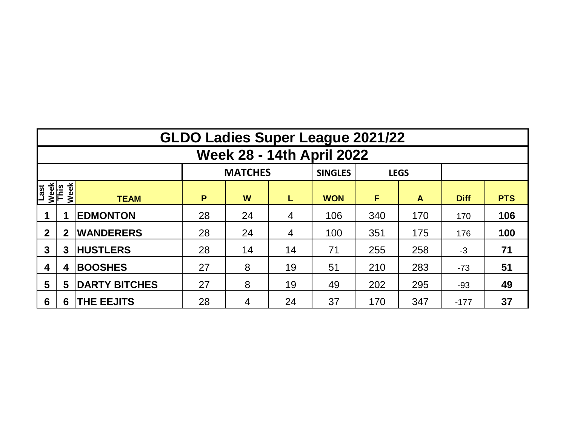|                                  | <b>GLDO Ladies Super League 2021/22</b> |                      |          |    |    |            |     |                  |             |            |  |  |  |  |  |
|----------------------------------|-----------------------------------------|----------------------|----------|----|----|------------|-----|------------------|-------------|------------|--|--|--|--|--|
| <b>Week 28 - 14th April 2022</b> |                                         |                      |          |    |    |            |     |                  |             |            |  |  |  |  |  |
|                                  |                                         |                      |          |    |    |            |     |                  |             |            |  |  |  |  |  |
| Last<br>Week<br>This             | Week                                    | <b>TEAM</b>          | P        | W  | L  | <b>WON</b> | F   | $\blacktriangle$ | <b>Diff</b> | <b>PTS</b> |  |  |  |  |  |
|                                  |                                         | <b>EDMONTON</b>      | 28       | 24 | 4  | 106        | 340 | 170              | 170         | 106        |  |  |  |  |  |
| $\mathbf{2}$                     | $\mathbf 2$                             | <b>WANDERERS</b>     | 28<br>24 |    | 4  | 100        | 351 | 175              | 176         | 100        |  |  |  |  |  |
| $\mathbf{3}$                     | 3                                       | <b>HUSTLERS</b>      | 28       | 14 | 14 | 71         | 255 | 258              | $-3$        | 71         |  |  |  |  |  |
| $\boldsymbol{4}$                 | 4                                       | <b>BOOSHES</b>       | 27       | 8  | 19 | 51         | 210 | 283              | $-73$       | 51         |  |  |  |  |  |
| $\overline{\mathbf{5}}$          | 5                                       | <b>DARTY BITCHES</b> | 27       | 8  | 19 | 49         | 202 | 295              | $-93$       | 49         |  |  |  |  |  |
| 6                                | 6                                       | <b>THE EEJITS</b>    | 28       | 4  | 24 | 37         | 170 | 347              | $-177$      | 37         |  |  |  |  |  |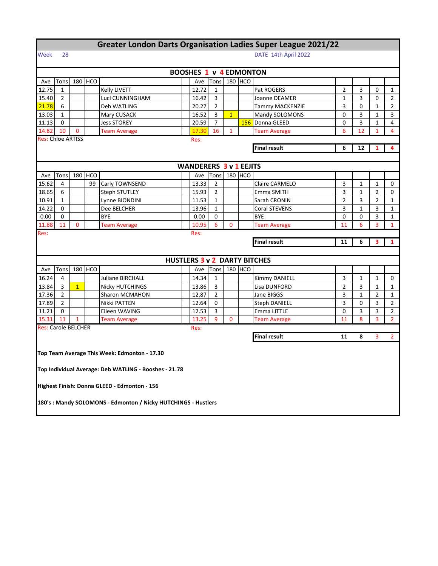| <b>Greater London Darts Organisation Ladies Super League 2021/22</b> |                                              |              |         |                                                                |  |                                     |                |                |            |                       |                |              |                |                |  |
|----------------------------------------------------------------------|----------------------------------------------|--------------|---------|----------------------------------------------------------------|--|-------------------------------------|----------------|----------------|------------|-----------------------|----------------|--------------|----------------|----------------|--|
| Week                                                                 | DATE 14th April 2022<br>28                   |              |         |                                                                |  |                                     |                |                |            |                       |                |              |                |                |  |
|                                                                      | <b>BOOSHES 1 v 4 EDMONTON</b>                |              |         |                                                                |  |                                     |                |                |            |                       |                |              |                |                |  |
|                                                                      |                                              |              |         |                                                                |  |                                     |                |                |            |                       |                |              |                |                |  |
| Ave                                                                  | Tons                                         |              | 180 HCO |                                                                |  | Ave                                 | Tons           | 180            | <b>HCO</b> |                       |                |              |                |                |  |
| 12.75                                                                | $\mathbf{1}$                                 |              |         | Kelly LIVETT                                                   |  | 12.72                               | $\mathbf{1}$   |                |            | Pat ROGERS            | $\overline{2}$ | 3            | 0              | $\mathbf{1}$   |  |
| 15.40                                                                | $\overline{2}$                               |              |         | Luci CUNNINGHAM                                                |  | 16.42                               | 3              |                |            | Joanne DEAMER         | $\mathbf{1}$   | 3            | 0              | $\overline{2}$ |  |
| 21.78                                                                | 6                                            |              |         | Deb WATLING                                                    |  | 20.27                               | $\overline{2}$ |                |            | Tammy MACKENZIE       | 3              | 0            | $\mathbf{1}$   | $\overline{2}$ |  |
| 13.03                                                                | 1                                            |              |         | Mary CUSACK                                                    |  | 16.52                               | 3              | 1              |            | Mandy SOLOMONS        | 0              | 3            | 1              | 3              |  |
| 11.13                                                                | $\Omega$                                     |              |         | <b>Jess STOREY</b>                                             |  | 20.59                               | $\overline{7}$ |                |            | 156 Donna GLEED       | $\Omega$       | 3            | $\mathbf{1}$   | 4              |  |
| 14.82                                                                | 10                                           | $\mathbf{0}$ |         | <b>Team Average</b>                                            |  | 17.30                               | 16             | $\overline{1}$ |            | <b>Team Average</b>   | 6              | 12           | $\mathbf{1}$   | $\overline{4}$ |  |
|                                                                      | <b>Res: Chloe ARTISS</b><br>Res:             |              |         |                                                                |  |                                     |                |                |            |                       |                |              |                |                |  |
|                                                                      |                                              |              |         |                                                                |  |                                     |                |                |            | <b>Final result</b>   | 6              | 12           | $\mathbf{1}$   | 4              |  |
|                                                                      |                                              |              |         |                                                                |  |                                     |                |                |            |                       |                |              |                |                |  |
|                                                                      |                                              |              |         |                                                                |  | <b>WANDERERS 3 v 1 EEJITS</b>       |                |                |            |                       |                |              |                |                |  |
| Ave                                                                  | Tons                                         | 180          | HCO     |                                                                |  | Ave                                 | Tons           |                | 180 HCO    |                       |                |              |                |                |  |
| 15.62                                                                | 4                                            |              | 99      | Carly TOWNSEND                                                 |  | 13.33                               | 2              |                |            | <b>Claire CARMELO</b> | 3              | $\mathbf 1$  | 1              | 0              |  |
| 18.65                                                                | 6                                            |              |         | <b>Steph STUTLEY</b>                                           |  | 15.93                               | $\overline{2}$ |                |            | Emma SMITH            | 3              | $\mathbf{1}$ | 2              | 0              |  |
| 10.91                                                                | $\mathbf{1}$                                 |              |         | Lynne BIONDINI                                                 |  | 11.53                               | $\mathbf{1}$   |                |            | Sarah CRONIN          | $\overline{2}$ | 3            | $\overline{2}$ | $\mathbf{1}$   |  |
| 14.22                                                                | 0                                            |              |         | Dee BELCHER                                                    |  | 13.96                               | $\mathbf{1}$   |                |            | Coral STEVENS         | 3              | $\mathbf 1$  | 3              | $\mathbf{1}$   |  |
| 0.00                                                                 | 0                                            |              |         | <b>BYE</b>                                                     |  | 0.00                                | 0              |                |            | <b>BYE</b>            | $\mathbf 0$    | 0            | 3              | $\mathbf{1}$   |  |
| 11.88                                                                | 11                                           | $\mathbf 0$  |         | <b>Team Average</b>                                            |  | 10.95                               | 6              | $\mathbf{0}$   |            | <b>Team Average</b>   | 11             | 6            | 3              | $\mathbf{1}$   |  |
| Res:                                                                 |                                              |              |         |                                                                |  | Res:                                |                |                |            |                       |                |              |                |                |  |
|                                                                      |                                              |              |         |                                                                |  |                                     |                |                |            | <b>Final result</b>   | 11             | 6            | 3              | $\mathbf{1}$   |  |
|                                                                      |                                              |              |         |                                                                |  |                                     |                |                |            |                       |                |              |                |                |  |
|                                                                      |                                              |              |         |                                                                |  | <b>HUSTLERS 3 v 2 DARTY BITCHES</b> |                |                |            |                       |                |              |                |                |  |
| Ave                                                                  | Tons                                         |              | 180 HCO |                                                                |  | Ave                                 | Tons           |                | 180 HCO    |                       |                |              |                |                |  |
| 16.24                                                                | 4                                            |              |         | <b>Juliane BIRCHALL</b>                                        |  | 14.34                               | $\mathbf{1}$   |                |            | Kimmy DANIELL         | 3              | $\mathbf{1}$ | $\mathbf{1}$   | 0              |  |
| 13.84                                                                | 3                                            | $\mathbf{1}$ |         | <b>Nicky HUTCHINGS</b>                                         |  | 13.86                               | 3              |                |            | Lisa DUNFORD          | $\overline{2}$ | 3            | $\mathbf{1}$   | $\mathbf{1}$   |  |
| 17.36                                                                | $\overline{2}$                               |              |         | Sharon MCMAHON                                                 |  | 12.87                               | $\overline{2}$ |                |            | Jane BIGGS            | 3              | $\mathbf{1}$ | $\overline{2}$ | $\mathbf{1}$   |  |
| 17.89                                                                | $\overline{2}$                               |              |         | Nikki PATTEN                                                   |  | 12.64                               | 0              |                |            | <b>Steph DANIELL</b>  | 3              | 0            | 3              | 2              |  |
| 11.21                                                                | $\Omega$                                     |              |         | Eileen WAVING                                                  |  | 12.53                               | 3              |                |            | Emma LITTLE           | 0              | 3            | 3              | 2              |  |
| 15.31                                                                | 11                                           | 1            |         | Team Average                                                   |  | 13.25                               | 9              | 0              |            | Team Average          | 11             | 8            | 3              | $\overline{2}$ |  |
| <b>Res: Carole BELCHER</b>                                           |                                              |              |         |                                                                |  | Res:                                |                |                |            |                       |                |              |                |                |  |
|                                                                      |                                              |              |         |                                                                |  |                                     |                |                |            | <b>Final result</b>   | 11             | 8            | 3              | $\overline{2}$ |  |
|                                                                      |                                              |              |         |                                                                |  |                                     |                |                |            |                       |                |              |                |                |  |
|                                                                      |                                              |              |         | Top Team Average This Week: Edmonton - 17.30                   |  |                                     |                |                |            |                       |                |              |                |                |  |
|                                                                      |                                              |              |         |                                                                |  |                                     |                |                |            |                       |                |              |                |                |  |
|                                                                      |                                              |              |         | Top Individual Average: Deb WATLING - Booshes - 21.78          |  |                                     |                |                |            |                       |                |              |                |                |  |
|                                                                      |                                              |              |         |                                                                |  |                                     |                |                |            |                       |                |              |                |                |  |
|                                                                      | Highest Finish: Donna GLEED - Edmonton - 156 |              |         |                                                                |  |                                     |                |                |            |                       |                |              |                |                |  |
|                                                                      |                                              |              |         | 180's : Mandy SOLOMONS - Edmonton / Nicky HUTCHINGS - Hustlers |  |                                     |                |                |            |                       |                |              |                |                |  |